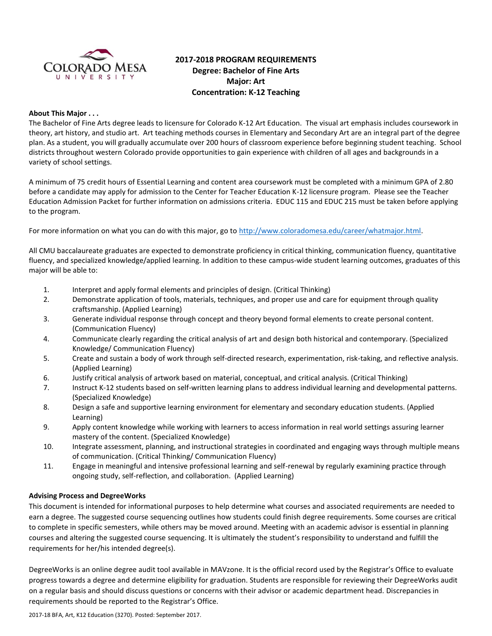

# **2017-2018 PROGRAM REQUIREMENTS Degree: Bachelor of Fine Arts Major: Art Concentration: K-12 Teaching**

### **About This Major . . .**

The Bachelor of Fine Arts degree leads to licensure for Colorado K-12 Art Education. The visual art emphasis includes coursework in theory, art history, and studio art. Art teaching methods courses in Elementary and Secondary Art are an integral part of the degree plan. As a student, you will gradually accumulate over 200 hours of classroom experience before beginning student teaching. School districts throughout western Colorado provide opportunities to gain experience with children of all ages and backgrounds in a variety of school settings.

A minimum of 75 credit hours of Essential Learning and content area coursework must be completed with a minimum GPA of 2.80 before a candidate may apply for admission to the Center for Teacher Education K-12 licensure program. Please see the Teacher Education Admission Packet for further information on admissions criteria. EDUC 115 and EDUC 215 must be taken before applying to the program.

For more information on what you can do with this major, go to [http://www.coloradomesa.edu/career/whatmajor.html.](http://www.coloradomesa.edu/career/whatmajor.html)

All CMU baccalaureate graduates are expected to demonstrate proficiency in critical thinking, communication fluency, quantitative fluency, and specialized knowledge/applied learning. In addition to these campus-wide student learning outcomes, graduates of this major will be able to:

- 1. Interpret and apply formal elements and principles of design. (Critical Thinking)
- 2. Demonstrate application of tools, materials, techniques, and proper use and care for equipment through quality craftsmanship. (Applied Learning)
- 3. Generate individual response through concept and theory beyond formal elements to create personal content. (Communication Fluency)
- 4. Communicate clearly regarding the critical analysis of art and design both historical and contemporary. (Specialized Knowledge/ Communication Fluency)
- 5. Create and sustain a body of work through self-directed research, experimentation, risk-taking, and reflective analysis. (Applied Learning)
- 6. Justify critical analysis of artwork based on material, conceptual, and critical analysis. (Critical Thinking)
- 7. Instruct K-12 students based on self-written learning plans to address individual learning and developmental patterns. (Specialized Knowledge)
- 8. Design a safe and supportive learning environment for elementary and secondary education students. (Applied Learning)
- 9. Apply content knowledge while working with learners to access information in real world settings assuring learner mastery of the content. (Specialized Knowledge)
- 10. Integrate assessment, planning, and instructional strategies in coordinated and engaging ways through multiple means of communication. (Critical Thinking/ Communication Fluency)
- 11. Engage in meaningful and intensive professional learning and self-renewal by regularly examining practice through ongoing study, self-reflection, and collaboration. (Applied Learning)

# **Advising Process and DegreeWorks**

This document is intended for informational purposes to help determine what courses and associated requirements are needed to earn a degree. The suggested course sequencing outlines how students could finish degree requirements. Some courses are critical to complete in specific semesters, while others may be moved around. Meeting with an academic advisor is essential in planning courses and altering the suggested course sequencing. It is ultimately the student's responsibility to understand and fulfill the requirements for her/his intended degree(s).

DegreeWorks is an online degree audit tool available in MAVzone. It is the official record used by the Registrar's Office to evaluate progress towards a degree and determine eligibility for graduation. Students are responsible for reviewing their DegreeWorks audit on a regular basis and should discuss questions or concerns with their advisor or academic department head. Discrepancies in requirements should be reported to the Registrar's Office.

2017-18 BFA, Art, K12 Education (3270). Posted: September 2017.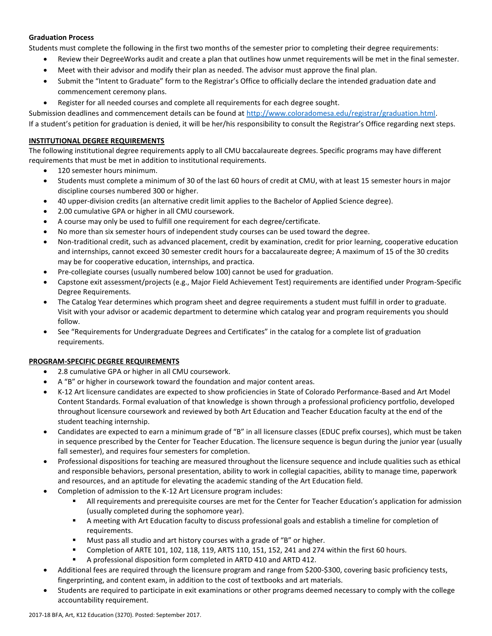# **Graduation Process**

Students must complete the following in the first two months of the semester prior to completing their degree requirements:

- Review their DegreeWorks audit and create a plan that outlines how unmet requirements will be met in the final semester.
- Meet with their advisor and modify their plan as needed. The advisor must approve the final plan.
- Submit the "Intent to Graduate" form to the Registrar's Office to officially declare the intended graduation date and commencement ceremony plans.
- Register for all needed courses and complete all requirements for each degree sought.

Submission deadlines and commencement details can be found at [http://www.coloradomesa.edu/registrar/graduation.html.](http://www.coloradomesa.edu/registrar/graduation.html) If a student's petition for graduation is denied, it will be her/his responsibility to consult the Registrar's Office regarding next steps.

### **INSTITUTIONAL DEGREE REQUIREMENTS**

The following institutional degree requirements apply to all CMU baccalaureate degrees. Specific programs may have different requirements that must be met in addition to institutional requirements.

- 120 semester hours minimum.
- Students must complete a minimum of 30 of the last 60 hours of credit at CMU, with at least 15 semester hours in major discipline courses numbered 300 or higher.
- 40 upper-division credits (an alternative credit limit applies to the Bachelor of Applied Science degree).
- 2.00 cumulative GPA or higher in all CMU coursework.
- A course may only be used to fulfill one requirement for each degree/certificate.
- No more than six semester hours of independent study courses can be used toward the degree.
- Non-traditional credit, such as advanced placement, credit by examination, credit for prior learning, cooperative education and internships, cannot exceed 30 semester credit hours for a baccalaureate degree; A maximum of 15 of the 30 credits may be for cooperative education, internships, and practica.
- Pre-collegiate courses (usually numbered below 100) cannot be used for graduation.
- Capstone exit assessment/projects (e.g., Major Field Achievement Test) requirements are identified under Program-Specific Degree Requirements.
- The Catalog Year determines which program sheet and degree requirements a student must fulfill in order to graduate. Visit with your advisor or academic department to determine which catalog year and program requirements you should follow.
- See "Requirements for Undergraduate Degrees and Certificates" in the catalog for a complete list of graduation requirements.

#### **PROGRAM-SPECIFIC DEGREE REQUIREMENTS**

- 2.8 cumulative GPA or higher in all CMU coursework.
- A "B" or higher in coursework toward the foundation and major content areas.
- K-12 Art licensure candidates are expected to show proficiencies in State of Colorado Performance-Based and Art Model Content Standards. Formal evaluation of that knowledge is shown through a professional proficiency portfolio, developed throughout licensure coursework and reviewed by both Art Education and Teacher Education faculty at the end of the student teaching internship.
- Candidates are expected to earn a minimum grade of "B" in all licensure classes (EDUC prefix courses), which must be taken in sequence prescribed by the Center for Teacher Education. The licensure sequence is begun during the junior year (usually fall semester), and requires four semesters for completion.
- Professional dispositions for teaching are measured throughout the licensure sequence and include qualities such as ethical and responsible behaviors, personal presentation, ability to work in collegial capacities, ability to manage time, paperwork and resources, and an aptitude for elevating the academic standing of the Art Education field.
- Completion of admission to the K-12 Art Licensure program includes:
	- All requirements and prerequisite courses are met for the Center for Teacher Education's application for admission (usually completed during the sophomore year).
	- A meeting with Art Education faculty to discuss professional goals and establish a timeline for completion of requirements.
	- **Must pass all studio and art history courses with a grade of "B" or higher.**
	- Completion of ARTE 101, 102, 118, 119, ARTS 110, 151, 152, 241 and 274 within the first 60 hours.
	- A professional disposition form completed in ARTD 410 and ARTD 412.
- Additional fees are required through the licensure program and range from \$200-\$300, covering basic proficiency tests, fingerprinting, and content exam, in addition to the cost of textbooks and art materials.
- Students are required to participate in exit examinations or other programs deemed necessary to comply with the college accountability requirement.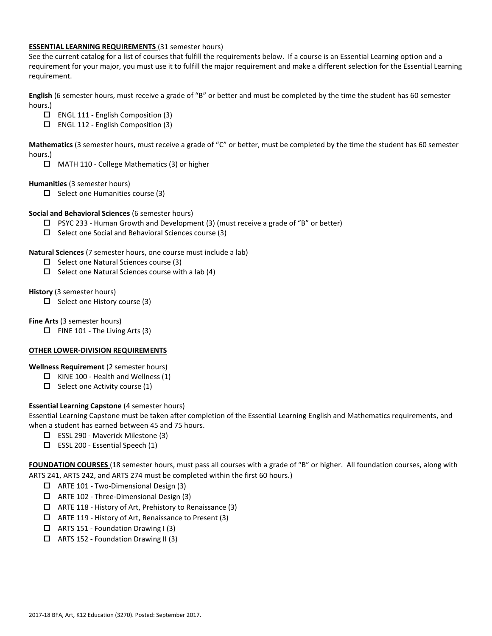### **ESSENTIAL LEARNING REQUIREMENTS** (31 semester hours)

See the current catalog for a list of courses that fulfill the requirements below. If a course is an Essential Learning option and a requirement for your major, you must use it to fulfill the major requirement and make a different selection for the Essential Learning requirement.

**English** (6 semester hours, must receive a grade of "B" or better and must be completed by the time the student has 60 semester hours.)

- ENGL 111 English Composition (3)
- $\Box$  ENGL 112 English Composition (3)

**Mathematics** (3 semester hours, must receive a grade of "C" or better, must be completed by the time the student has 60 semester hours.)

MATH 110 - College Mathematics (3) or higher

**Humanities** (3 semester hours)

 $\square$  Select one Humanities course (3)

### **Social and Behavioral Sciences** (6 semester hours)

- $\Box$  PSYC 233 Human Growth and Development (3) (must receive a grade of "B" or better)
- $\Box$  Select one Social and Behavioral Sciences course (3)

### **Natural Sciences** (7 semester hours, one course must include a lab)

- $\Box$  Select one Natural Sciences course (3)
- $\Box$  Select one Natural Sciences course with a lab (4)

### **History** (3 semester hours)

 $\Box$  Select one History course (3)

**Fine Arts** (3 semester hours)

 $\Box$  FINE 101 - The Living Arts (3)

# **OTHER LOWER-DIVISION REQUIREMENTS**

**Wellness Requirement** (2 semester hours)

- $\Box$  KINE 100 Health and Wellness (1)
- $\Box$  Select one Activity course (1)

# **Essential Learning Capstone** (4 semester hours)

Essential Learning Capstone must be taken after completion of the Essential Learning English and Mathematics requirements, and when a student has earned between 45 and 75 hours.

- ESSL 290 Maverick Milestone (3)
- $\square$  ESSL 200 Essential Speech (1)

**FOUNDATION COURSES** (18 semester hours, must pass all courses with a grade of "B" or higher. All foundation courses, along with ARTS 241, ARTS 242, and ARTS 274 must be completed within the first 60 hours.)

- ARTE 101 Two-Dimensional Design (3)
- ARTE 102 Three-Dimensional Design (3)
- $\Box$  ARTE 118 History of Art, Prehistory to Renaissance (3)
- ARTE 119 History of Art, Renaissance to Present (3)
- $\Box$  ARTS 151 Foundation Drawing I (3)
- ARTS 152 Foundation Drawing II (3)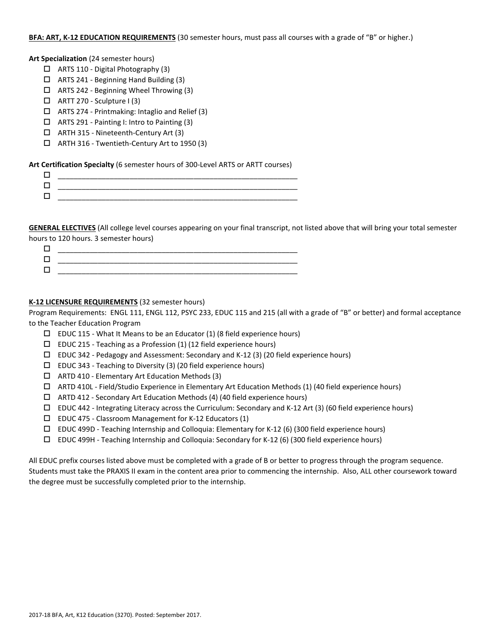#### **BFA: ART, K-12 EDUCATION REQUIREMENTS** (30 semester hours, must pass all courses with a grade of "B" or higher.)

#### **Art Specialization** (24 semester hours)

- $\Box$  ARTS 110 Digital Photography (3)
- ARTS 241 Beginning Hand Building (3)
- $\Box$  ARTS 242 Beginning Wheel Throwing (3)
- $\Box$  ARTT 270 Sculpture I (3)
- $\Box$  ARTS 274 Printmaking: Intaglio and Relief (3)
- ARTS 291 Painting I: Intro to Painting (3)
- ARTH 315 Nineteenth-Century Art (3)
- ARTH 316 Twentieth-Century Art to 1950 (3)

**Art Certification Specialty** (6 semester hours of 300-Level ARTS or ARTT courses)

| ٠         |
|-----------|
|           |
| _________ |

**GENERAL ELECTIVES** (All college level courses appearing on your final transcript, not listed above that will bring your total semester hours to 120 hours. 3 semester hours)

| ___________ |
|-------------|
| ________    |

# **K-12 LICENSURE REQUIREMENTS** (32 semester hours)

Program Requirements: ENGL 111, ENGL 112, PSYC 233, EDUC 115 and 215 (all with a grade of "B" or better) and formal acceptance to the Teacher Education Program

- $\square$  EDUC 115 What It Means to be an Educator (1) (8 field experience hours)
- $\square$  EDUC 215 Teaching as a Profession (1) (12 field experience hours)
- $\Box$  EDUC 342 Pedagogy and Assessment: Secondary and K-12 (3) (20 field experience hours)
- $\square$  EDUC 343 Teaching to Diversity (3) (20 field experience hours)
- $\Box$  ARTD 410 Elementary Art Education Methods (3)
- ARTD 410L Field/Studio Experience in Elementary Art Education Methods (1) (40 field experience hours)
- ARTD 412 Secondary Art Education Methods (4) (40 field experience hours)
- $\Box$  EDUC 442 Integrating Literacy across the Curriculum: Secondary and K-12 Art (3) (60 field experience hours)
- EDUC 475 Classroom Management for K-12 Educators (1)
- EDUC 499D Teaching Internship and Colloquia: Elementary for K-12 (6) (300 field experience hours)
- $\Box$  EDUC 499H Teaching Internship and Colloquia: Secondary for K-12 (6) (300 field experience hours)

All EDUC prefix courses listed above must be completed with a grade of B or better to progress through the program sequence. Students must take the PRAXIS II exam in the content area prior to commencing the internship. Also, ALL other coursework toward the degree must be successfully completed prior to the internship.